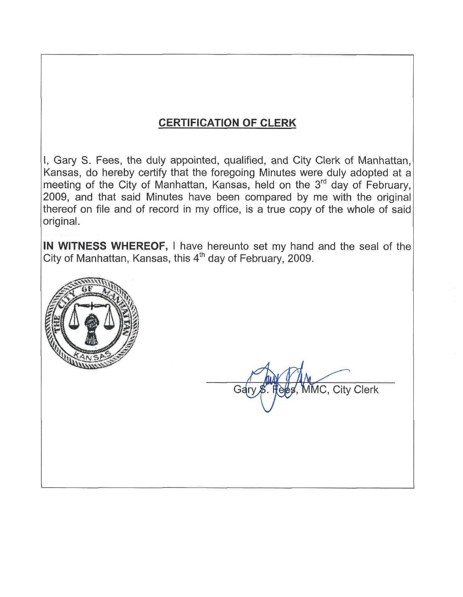# **CERTIFICATION OF CLERK**

I, Gary S. Fees, the duly appointed, qualified, and City Clerk of Manhattan, Kansas, do hereby certify that the foregoing Minutes were duly adopted at a meeting of the City of Manhattan, Kansas, held on the 3<sup>rd</sup> day of February, 2009, and that said Minutes have been compared by me with the original thereof on file and of record in my office, is a true copy of the whole of said original.

IN WITNESS WHEREOF, I have hereunto set my hand and the seal of the City of Manhattan, Kansas, this 4<sup>th</sup> day of February, 2009.



**IC, City Clerk**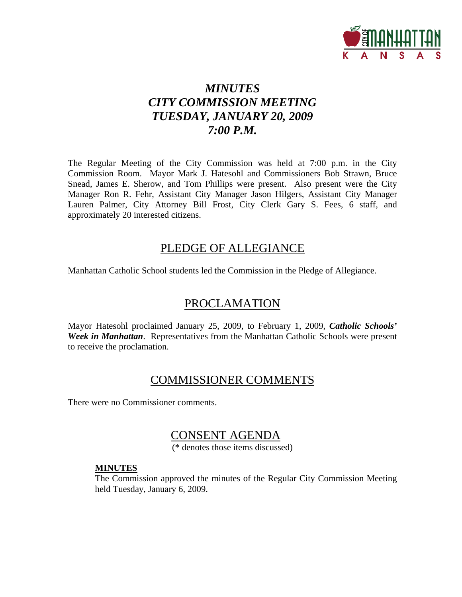

# *MINUTES CITY COMMISSION MEETING TUESDAY, JANUARY 20, 2009 7:00 P.M.*

The Regular Meeting of the City Commission was held at 7:00 p.m. in the City Commission Room. Mayor Mark J. Hatesohl and Commissioners Bob Strawn, Bruce Snead, James E. Sherow, and Tom Phillips were present. Also present were the City Manager Ron R. Fehr, Assistant City Manager Jason Hilgers, Assistant City Manager Lauren Palmer, City Attorney Bill Frost, City Clerk Gary S. Fees, 6 staff, and approximately 20 interested citizens.

## PLEDGE OF ALLEGIANCE

Manhattan Catholic School students led the Commission in the Pledge of Allegiance.

## PROCLAMATION

Mayor Hatesohl proclaimed January 25, 2009, to February 1, 2009, *Catholic Schools' Week in Manhattan*. Representatives from the Manhattan Catholic Schools were present to receive the proclamation.

## COMMISSIONER COMMENTS

There were no Commissioner comments.

## CONSENT AGENDA

(\* denotes those items discussed)

### **MINUTES**

The Commission approved the minutes of the Regular City Commission Meeting held Tuesday, January 6, 2009.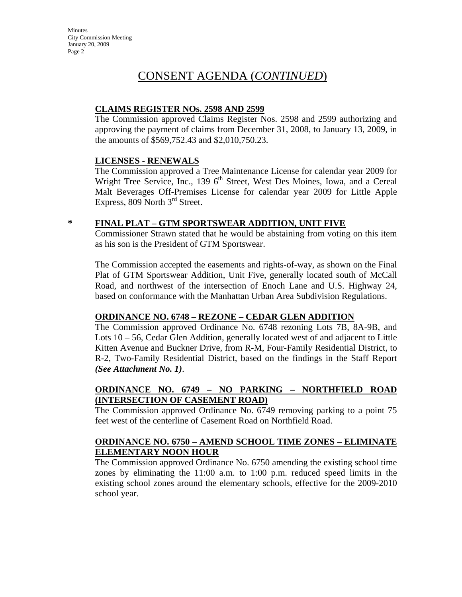**Minutes** City Commission Meeting January 20, 2009 Page 2

## CONSENT AGENDA (*CONTINUED*)

### **CLAIMS REGISTER NOs. 2598 AND 2599**

The Commission approved Claims Register Nos. 2598 and 2599 authorizing and approving the payment of claims from December 31, 2008, to January 13, 2009, in the amounts of \$569,752.43 and \$2,010,750.23.

### **LICENSES - RENEWALS**

The Commission approved a Tree Maintenance License for calendar year 2009 for Wright Tree Service, Inc., 139 6<sup>th</sup> Street, West Des Moines, Iowa, and a Cereal Malt Beverages Off-Premises License for calendar year 2009 for Little Apple Express, 809 North  $3<sup>rd</sup>$  Street.

### **\* FINAL PLAT – GTM SPORTSWEAR ADDITION, UNIT FIVE**

Commissioner Strawn stated that he would be abstaining from voting on this item as his son is the President of GTM Sportswear.

The Commission accepted the easements and rights-of-way, as shown on the Final Plat of GTM Sportswear Addition, Unit Five, generally located south of McCall Road, and northwest of the intersection of Enoch Lane and U.S. Highway 24, based on conformance with the Manhattan Urban Area Subdivision Regulations.

### **ORDINANCE NO. 6748 – REZONE – CEDAR GLEN ADDITION**

The Commission approved Ordinance No. 6748 rezoning Lots 7B, 8A-9B, and Lots  $10 - 56$ , Cedar Glen Addition, generally located west of and adjacent to Little Kitten Avenue and Buckner Drive, from R-M, Four-Family Residential District, to R-2, Two-Family Residential District, based on the findings in the Staff Report *(See Attachment No. 1)*.

### **ORDINANCE NO. 6749 – NO PARKING – NORTHFIELD ROAD (INTERSECTION OF CASEMENT ROAD)**

The Commission approved Ordinance No. 6749 removing parking to a point 75 feet west of the centerline of Casement Road on Northfield Road.

### **ORDINANCE NO. 6750 – AMEND SCHOOL TIME ZONES – ELIMINATE ELEMENTARY NOON HOUR**

The Commission approved Ordinance No. 6750 amending the existing school time zones by eliminating the 11:00 a.m. to 1:00 p.m. reduced speed limits in the existing school zones around the elementary schools, effective for the 2009-2010 school year.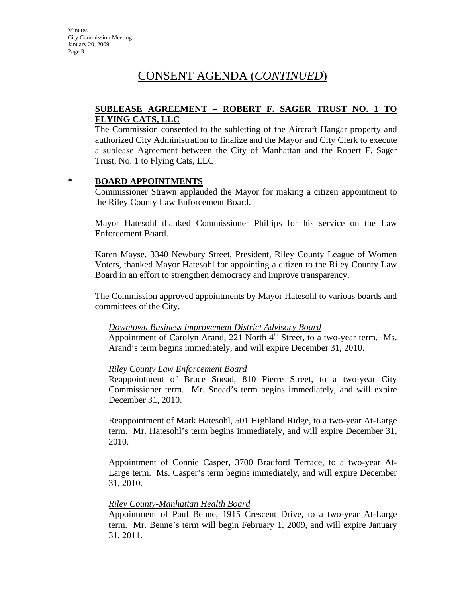**Minutes** City Commission Meeting January 20, 2009 Page 3

## CONSENT AGENDA (*CONTINUED*)

### **SUBLEASE AGREEMENT – ROBERT F. SAGER TRUST NO. 1 TO FLYING CATS, LLC**

The Commission consented to the subletting of the Aircraft Hangar property and authorized City Administration to finalize and the Mayor and City Clerk to execute a sublease Agreement between the City of Manhattan and the Robert F. Sager Trust, No. 1 to Flying Cats, LLC.

### **\* BOARD APPOINTMENTS**

Commissioner Strawn applauded the Mayor for making a citizen appointment to the Riley County Law Enforcement Board.

Mayor Hatesohl thanked Commissioner Phillips for his service on the Law Enforcement Board.

Karen Mayse, 3340 Newbury Street, President, Riley County League of Women Voters, thanked Mayor Hatesohl for appointing a citizen to the Riley County Law Board in an effort to strengthen democracy and improve transparency.

The Commission approved appointments by Mayor Hatesohl to various boards and committees of the City.

#### *Downtown Business Improvement District Advisory Board*

Appointment of Carolyn Arand, 221 North  $4<sup>th</sup>$  Street, to a two-year term. Ms. Arand's term begins immediately, and will expire December 31, 2010.

#### *Riley County Law Enforcement Board*

Reappointment of Bruce Snead, 810 Pierre Street, to a two-year City Commissioner term. Mr. Snead's term begins immediately, and will expire December 31, 2010.

Reappointment of Mark Hatesohl, 501 Highland Ridge, to a two-year At-Large term. Mr. Hatesohl's term begins immediately, and will expire December 31, 2010.

Appointment of Connie Casper, 3700 Bradford Terrace, to a two-year At-Large term. Ms. Casper's term begins immediately, and will expire December 31, 2010.

### *Riley County-Manhattan Health Board*

Appointment of Paul Benne, 1915 Crescent Drive, to a two-year At-Large term. Mr. Benne's term will begin February 1, 2009, and will expire January 31, 2011.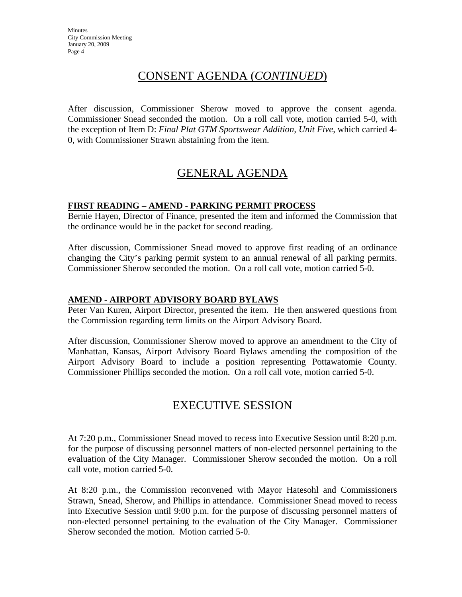## CONSENT AGENDA (*CONTINUED*)

After discussion, Commissioner Sherow moved to approve the consent agenda. Commissioner Snead seconded the motion. On a roll call vote, motion carried 5-0, with the exception of Item D: *Final Plat GTM Sportswear Addition, Unit Five*, which carried 4- 0, with Commissioner Strawn abstaining from the item.

# GENERAL AGENDA

### **FIRST READING – AMEND - PARKING PERMIT PROCESS**

Bernie Hayen, Director of Finance, presented the item and informed the Commission that the ordinance would be in the packet for second reading.

After discussion, Commissioner Snead moved to approve first reading of an ordinance changing the City's parking permit system to an annual renewal of all parking permits. Commissioner Sherow seconded the motion. On a roll call vote, motion carried 5-0.

### **AMEND - AIRPORT ADVISORY BOARD BYLAWS**

Peter Van Kuren, Airport Director, presented the item. He then answered questions from the Commission regarding term limits on the Airport Advisory Board.

After discussion, Commissioner Sherow moved to approve an amendment to the City of Manhattan, Kansas, Airport Advisory Board Bylaws amending the composition of the Airport Advisory Board to include a position representing Pottawatomie County. Commissioner Phillips seconded the motion. On a roll call vote, motion carried 5-0.

## EXECUTIVE SESSION

At 7:20 p.m., Commissioner Snead moved to recess into Executive Session until 8:20 p.m. for the purpose of discussing personnel matters of non-elected personnel pertaining to the evaluation of the City Manager.Commissioner Sherow seconded the motion. On a roll call vote, motion carried 5-0.

At 8:20 p.m., the Commission reconvened with Mayor Hatesohl and Commissioners Strawn, Snead, Sherow, and Phillips in attendance. Commissioner Snead moved to recess into Executive Session until 9:00 p.m. for the purpose of discussing personnel matters of non-elected personnel pertaining to the evaluation of the City Manager. Commissioner Sherow seconded the motion. Motion carried 5-0.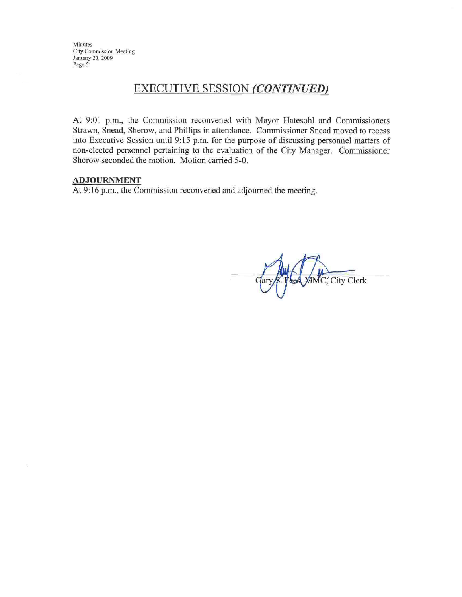Minutes **City Commission Meeting** January 20, 2009 Page 5

## **EXECUTIVE SESSION (CONTINUED)**

At 9:01 p.m., the Commission reconvened with Mayor Hatesohl and Commissioners Strawn, Snead, Sherow, and Phillips in attendance. Commissioner Snead moved to recess into Executive Session until 9:15 p.m. for the purpose of discussing personnel matters of non-elected personnel pertaining to the evaluation of the City Manager. Commissioner Sherow seconded the motion. Motion carried 5-0.

#### **ADJOURNMENT**

At 9:16 p.m., the Commission reconvened and adjourned the meeting.

MMC, City Clerk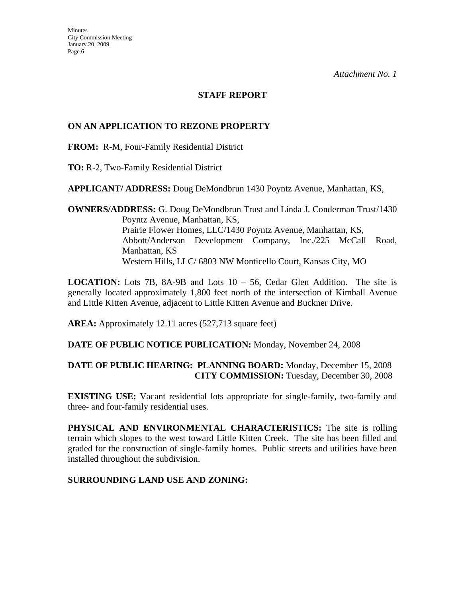### **STAFF REPORT**

### **ON AN APPLICATION TO REZONE PROPERTY**

**FROM:** R-M, Four-Family Residential District

**TO:** R-2, Two-Family Residential District

**APPLICANT/ ADDRESS:** Doug DeMondbrun 1430 Poyntz Avenue, Manhattan, KS,

**OWNERS/ADDRESS:** G. Doug DeMondbrun Trust and Linda J. Conderman Trust/1430 Poyntz Avenue, Manhattan, KS, Prairie Flower Homes, LLC/1430 Poyntz Avenue, Manhattan, KS, Abbott/Anderson Development Company, Inc./225 McCall Road, Manhattan, KS Western Hills, LLC/ 6803 NW Monticello Court, Kansas City, MO

**LOCATION:** Lots 7B, 8A-9B and Lots 10 – 56, Cedar Glen Addition. The site is generally located approximately 1,800 feet north of the intersection of Kimball Avenue and Little Kitten Avenue, adjacent to Little Kitten Avenue and Buckner Drive.

**AREA:** Approximately 12.11 acres (527,713 square feet)

**DATE OF PUBLIC NOTICE PUBLICATION:** Monday, November 24, 2008

### **DATE OF PUBLIC HEARING: PLANNING BOARD:** Monday, December 15, 2008 **CITY COMMISSION:** Tuesday, December 30, 2008

**EXISTING USE:** Vacant residential lots appropriate for single-family, two-family and three- and four-family residential uses.

**PHYSICAL AND ENVIRONMENTAL CHARACTERISTICS:** The site is rolling terrain which slopes to the west toward Little Kitten Creek. The site has been filled and graded for the construction of single-family homes. Public streets and utilities have been installed throughout the subdivision.

### **SURROUNDING LAND USE AND ZONING:**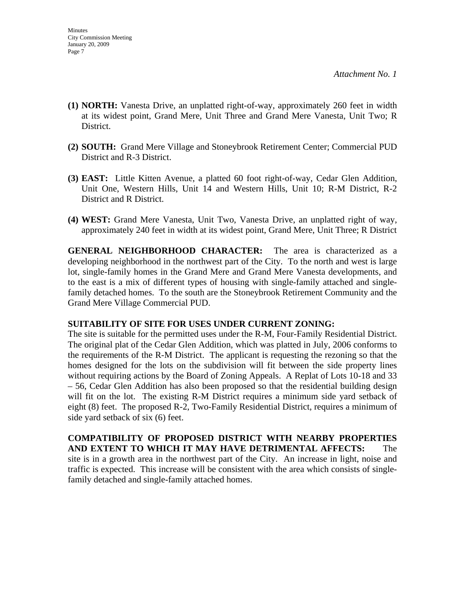- **(1) NORTH:** Vanesta Drive, an unplatted right-of-way, approximately 260 feet in width at its widest point, Grand Mere, Unit Three and Grand Mere Vanesta, Unit Two; R District.
- **(2) SOUTH:** Grand Mere Village and Stoneybrook Retirement Center; Commercial PUD District and R-3 District.
- **(3) EAST:** Little Kitten Avenue, a platted 60 foot right-of-way, Cedar Glen Addition, Unit One, Western Hills, Unit 14 and Western Hills, Unit 10; R-M District, R-2 District and R District.
- **(4) WEST:** Grand Mere Vanesta, Unit Two, Vanesta Drive, an unplatted right of way, approximately 240 feet in width at its widest point, Grand Mere, Unit Three; R District

**GENERAL NEIGHBORHOOD CHARACTER:** The area is characterized as a developing neighborhood in the northwest part of the City. To the north and west is large lot, single-family homes in the Grand Mere and Grand Mere Vanesta developments, and to the east is a mix of different types of housing with single-family attached and singlefamily detached homes. To the south are the Stoneybrook Retirement Community and the Grand Mere Village Commercial PUD.

### **SUITABILITY OF SITE FOR USES UNDER CURRENT ZONING:**

The site is suitable for the permitted uses under the R-M, Four-Family Residential District. The original plat of the Cedar Glen Addition, which was platted in July, 2006 conforms to the requirements of the R-M District. The applicant is requesting the rezoning so that the homes designed for the lots on the subdivision will fit between the side property lines without requiring actions by the Board of Zoning Appeals. A Replat of Lots 10-18 and 33 – 56, Cedar Glen Addition has also been proposed so that the residential building design will fit on the lot. The existing R-M District requires a minimum side yard setback of eight (8) feet. The proposed R-2, Two-Family Residential District, requires a minimum of side yard setback of six (6) feet.

**COMPATIBILITY OF PROPOSED DISTRICT WITH NEARBY PROPERTIES AND EXTENT TO WHICH IT MAY HAVE DETRIMENTAL AFFECTS:** The site is in a growth area in the northwest part of the City. An increase in light, noise and traffic is expected. This increase will be consistent with the area which consists of singlefamily detached and single-family attached homes.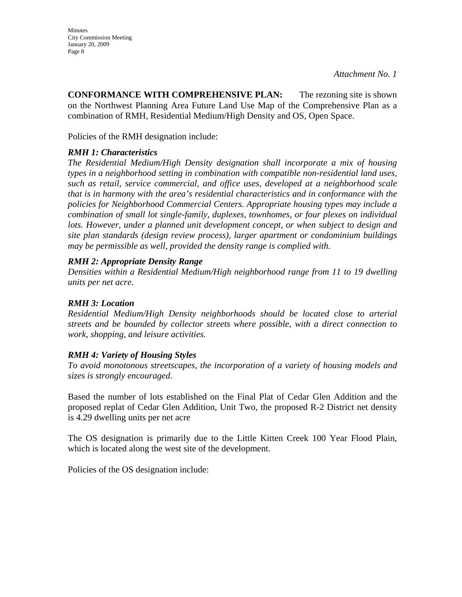**CONFORMANCE WITH COMPREHENSIVE PLAN:** The rezoning site is shown on the Northwest Planning Area Future Land Use Map of the Comprehensive Plan as a combination of RMH, Residential Medium/High Density and OS, Open Space.

Policies of the RMH designation include:

### *RMH 1: Characteristics*

*The Residential Medium/High Density designation shall incorporate a mix of housing types in a neighborhood setting in combination with compatible non-residential land uses, such as retail, service commercial, and office uses, developed at a neighborhood scale that is in harmony with the area's residential characteristics and in conformance with the policies for Neighborhood Commercial Centers. Appropriate housing types may include a combination of small lot single-family, duplexes, townhomes, or four plexes on individual*  lots. However, under a planned unit development concept, or when subject to design and *site plan standards (design review process), larger apartment or condominium buildings may be permissible as well, provided the density range is complied with.* 

### *RMH 2: Appropriate Density Range*

*Densities within a Residential Medium/High neighborhood range from 11 to 19 dwelling units per net acre.* 

### *RMH 3: Location*

*Residential Medium/High Density neighborhoods should be located close to arterial streets and be bounded by collector streets where possible, with a direct connection to work, shopping, and leisure activities.* 

### *RMH 4: Variety of Housing Styles*

*To avoid monotonous streetscapes, the incorporation of a variety of housing models and sizes is strongly encouraged*.

Based the number of lots established on the Final Plat of Cedar Glen Addition and the proposed replat of Cedar Glen Addition, Unit Two, the proposed R-2 District net density is 4.29 dwelling units per net acre

The OS designation is primarily due to the Little Kitten Creek 100 Year Flood Plain, which is located along the west site of the development.

Policies of the OS designation include: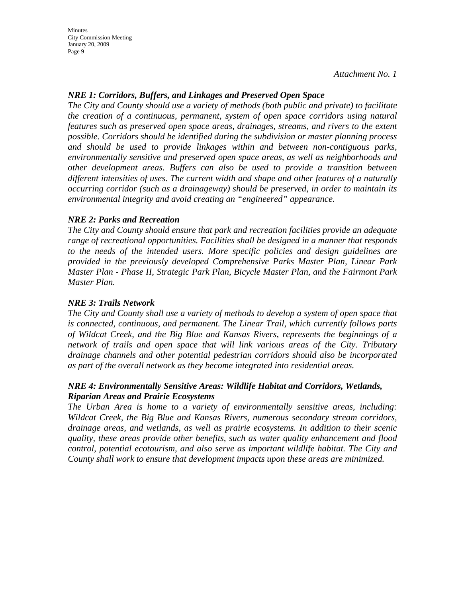Minutes City Commission Meeting January 20, 2009 Page 9

*Attachment No. 1* 

### *NRE 1: Corridors, Buffers, and Linkages and Preserved Open Space*

*The City and County should use a variety of methods (both public and private) to facilitate the creation of a continuous, permanent, system of open space corridors using natural features such as preserved open space areas, drainages, streams, and rivers to the extent possible. Corridors should be identified during the subdivision or master planning process and should be used to provide linkages within and between non-contiguous parks, environmentally sensitive and preserved open space areas, as well as neighborhoods and other development areas. Buffers can also be used to provide a transition between different intensities of uses. The current width and shape and other features of a naturally occurring corridor (such as a drainageway) should be preserved, in order to maintain its environmental integrity and avoid creating an "engineered" appearance.* 

### *NRE 2: Parks and Recreation*

*The City and County should ensure that park and recreation facilities provide an adequate range of recreational opportunities. Facilities shall be designed in a manner that responds to the needs of the intended users. More specific policies and design guidelines are provided in the previously developed Comprehensive Parks Master Plan, Linear Park Master Plan - Phase II, Strategic Park Plan, Bicycle Master Plan, and the Fairmont Park Master Plan.* 

### *NRE 3: Trails Network*

*The City and County shall use a variety of methods to develop a system of open space that is connected, continuous, and permanent. The Linear Trail, which currently follows parts of Wildcat Creek, and the Big Blue and Kansas Rivers, represents the beginnings of a network of trails and open space that will link various areas of the City. Tributary drainage channels and other potential pedestrian corridors should also be incorporated as part of the overall network as they become integrated into residential areas.* 

### *NRE 4: Environmentally Sensitive Areas: Wildlife Habitat and Corridors, Wetlands, Riparian Areas and Prairie Ecosystems*

*The Urban Area is home to a variety of environmentally sensitive areas, including: Wildcat Creek, the Big Blue and Kansas Rivers, numerous secondary stream corridors, drainage areas, and wetlands, as well as prairie ecosystems. In addition to their scenic quality, these areas provide other benefits, such as water quality enhancement and flood control, potential ecotourism, and also serve as important wildlife habitat. The City and County shall work to ensure that development impacts upon these areas are minimized.*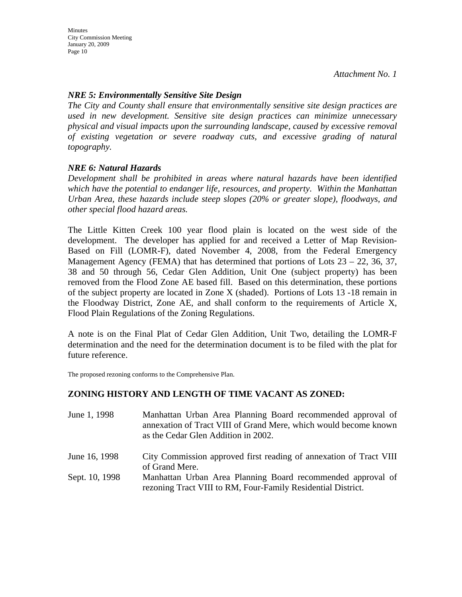### *NRE 5: Environmentally Sensitive Site Design*

*The City and County shall ensure that environmentally sensitive site design practices are used in new development. Sensitive site design practices can minimize unnecessary physical and visual impacts upon the surrounding landscape, caused by excessive removal of existing vegetation or severe roadway cuts, and excessive grading of natural topography.* 

### *NRE 6: Natural Hazards*

*Development shall be prohibited in areas where natural hazards have been identified which have the potential to endanger life, resources, and property. Within the Manhattan Urban Area, these hazards include steep slopes (20% or greater slope), floodways, and other special flood hazard areas.* 

The Little Kitten Creek 100 year flood plain is located on the west side of the development. The developer has applied for and received a Letter of Map Revision-Based on Fill (LOMR-F), dated November 4, 2008, from the Federal Emergency Management Agency (FEMA) that has determined that portions of Lots 23 – 22, 36, 37, 38 and 50 through 56, Cedar Glen Addition, Unit One (subject property) has been removed from the Flood Zone AE based fill. Based on this determination, these portions of the subject property are located in Zone X (shaded). Portions of Lots 13 -18 remain in the Floodway District, Zone AE, and shall conform to the requirements of Article X, Flood Plain Regulations of the Zoning Regulations.

A note is on the Final Plat of Cedar Glen Addition, Unit Two, detailing the LOMR-F determination and the need for the determination document is to be filed with the plat for future reference.

The proposed rezoning conforms to the Comprehensive Plan.

### **ZONING HISTORY AND LENGTH OF TIME VACANT AS ZONED:**

| June 1, 1998   | Manhattan Urban Area Planning Board recommended approval of<br>annexation of Tract VIII of Grand Mere, which would become known<br>as the Cedar Glen Addition in 2002. |
|----------------|------------------------------------------------------------------------------------------------------------------------------------------------------------------------|
| June 16, 1998  | City Commission approved first reading of annexation of Tract VIII<br>of Grand Mere.                                                                                   |
|                |                                                                                                                                                                        |
| Sept. 10, 1998 | Manhattan Urban Area Planning Board recommended approval of<br>rezoning Tract VIII to RM, Four-Family Residential District.                                            |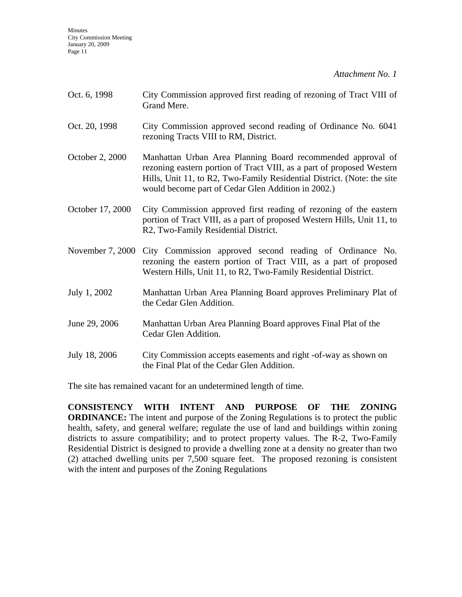| Oct. 6, 1998     | City Commission approved first reading of rezoning of Tract VIII of<br>Grand Mere.                                                                                                                                                                                    |
|------------------|-----------------------------------------------------------------------------------------------------------------------------------------------------------------------------------------------------------------------------------------------------------------------|
| Oct. 20, 1998    | City Commission approved second reading of Ordinance No. 6041<br>rezoning Tracts VIII to RM, District.                                                                                                                                                                |
| October 2, 2000  | Manhattan Urban Area Planning Board recommended approval of<br>rezoning eastern portion of Tract VIII, as a part of proposed Western<br>Hills, Unit 11, to R2, Two-Family Residential District. (Note: the site<br>would become part of Cedar Glen Addition in 2002.) |
| October 17, 2000 | City Commission approved first reading of rezoning of the eastern<br>portion of Tract VIII, as a part of proposed Western Hills, Unit 11, to<br>R2, Two-Family Residential District.                                                                                  |
| November 7, 2000 | City Commission approved second reading of Ordinance No.<br>rezoning the eastern portion of Tract VIII, as a part of proposed<br>Western Hills, Unit 11, to R2, Two-Family Residential District.                                                                      |
| July 1, 2002     | Manhattan Urban Area Planning Board approves Preliminary Plat of<br>the Cedar Glen Addition.                                                                                                                                                                          |
| June 29, 2006    | Manhattan Urban Area Planning Board approves Final Plat of the<br>Cedar Glen Addition.                                                                                                                                                                                |
| July 18, 2006    | City Commission accepts easements and right -of-way as shown on<br>the Final Plat of the Cedar Glen Addition.                                                                                                                                                         |

The site has remained vacant for an undetermined length of time.

**CONSISTENCY WITH INTENT AND PURPOSE OF THE ZONING ORDINANCE:** The intent and purpose of the Zoning Regulations is to protect the public health, safety, and general welfare; regulate the use of land and buildings within zoning districts to assure compatibility; and to protect property values. The R-2, Two-Family Residential District is designed to provide a dwelling zone at a density no greater than two (2) attached dwelling units per 7,500 square feet. The proposed rezoning is consistent with the intent and purposes of the Zoning Regulations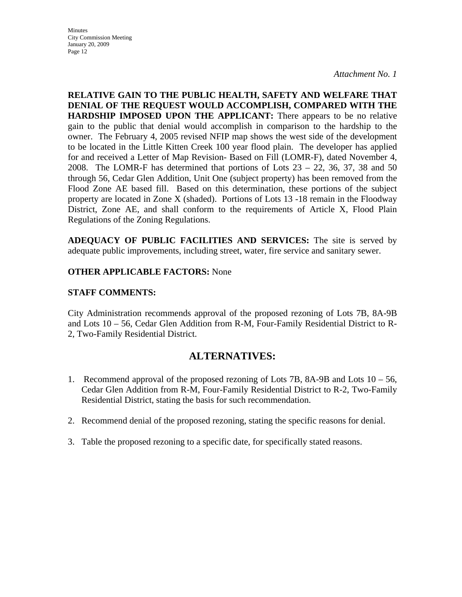**Minutes** City Commission Meeting January 20, 2009 Page 12

*Attachment No. 1* 

**RELATIVE GAIN TO THE PUBLIC HEALTH, SAFETY AND WELFARE THAT DENIAL OF THE REQUEST WOULD ACCOMPLISH, COMPARED WITH THE HARDSHIP IMPOSED UPON THE APPLICANT:** There appears to be no relative gain to the public that denial would accomplish in comparison to the hardship to the owner. The February 4, 2005 revised NFIP map shows the west side of the development to be located in the Little Kitten Creek 100 year flood plain. The developer has applied for and received a Letter of Map Revision- Based on Fill (LOMR-F), dated November 4, 2008. The LOMR-F has determined that portions of Lots  $23 - 22$ , 36, 37, 38 and 50 through 56, Cedar Glen Addition, Unit One (subject property) has been removed from the Flood Zone AE based fill. Based on this determination, these portions of the subject property are located in Zone X (shaded). Portions of Lots 13 -18 remain in the Floodway District, Zone AE, and shall conform to the requirements of Article X, Flood Plain Regulations of the Zoning Regulations.

**ADEQUACY OF PUBLIC FACILITIES AND SERVICES:** The site is served by adequate public improvements, including street, water, fire service and sanitary sewer.

### **OTHER APPLICABLE FACTORS:** None

### **STAFF COMMENTS:**

City Administration recommends approval of the proposed rezoning of Lots 7B, 8A-9B and Lots 10 – 56, Cedar Glen Addition from R-M, Four-Family Residential District to R-2, Two-Family Residential District.

### **ALTERNATIVES:**

- 1. Recommend approval of the proposed rezoning of Lots 7B, 8A-9B and Lots 10 56, Cedar Glen Addition from R-M, Four-Family Residential District to R-2, Two-Family Residential District, stating the basis for such recommendation.
- 2. Recommend denial of the proposed rezoning, stating the specific reasons for denial.
- 3. Table the proposed rezoning to a specific date, for specifically stated reasons.